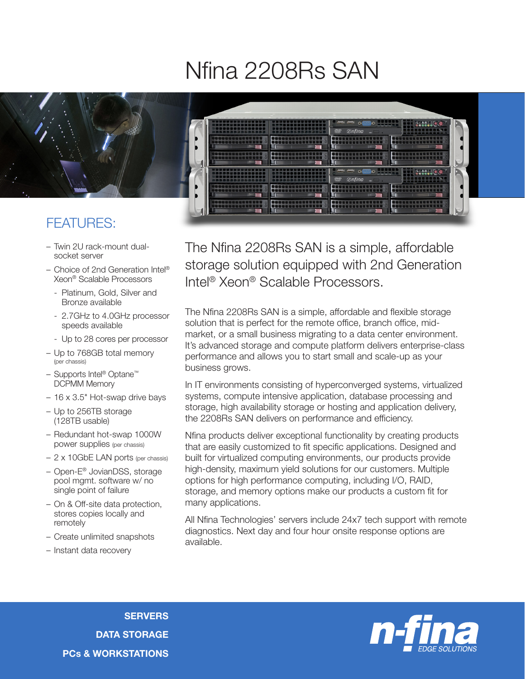## Nfina 2208Rs SAN



- Twin 2U rack-mount dualsocket server
- Choice of 2nd Generation Intel® Xeon® Scalable Processors
	- Platinum, Gold, Silver and Bronze available
	- 2.7GHz to 4.0GHz processor speeds available
	- Up to 28 cores per processor
- Up to 768GB total memory (per chassis)
- Supports Intel® Optane™ DCPMM Memory
- 16 x 3.5" Hot-swap drive bays
- Up to 256TB storage (128TB usable)
- Redundant hot-swap 1000W power supplies (per chassis)
- 2 x 10GbE LAN ports (per chassis)
- Open-E® JovianDSS, storage pool mgmt. software w/ no single point of failure
- On & Off-site data protection, stores copies locally and remotely
- Create unlimited snapshots
- Instant data recovery

The Nfina 2208Rs SAN is a simple, affordable storage solution equipped with 2nd Generation Intel® Xeon® Scalable Processors.

The Nfina 2208Rs SAN is a simple, affordable and flexible storage solution that is perfect for the remote office, branch office, midmarket, or a small business migrating to a data center environment. It's advanced storage and compute platform delivers enterprise-class performance and allows you to start small and scale-up as your business grows.

In IT environments consisting of hyperconverged systems, virtualized systems, compute intensive application, database processing and storage, high availability storage or hosting and application delivery, the 2208Rs SAN delivers on performance and efficiency.

Nfina products deliver exceptional functionality by creating products that are easily customized to fit specific applications. Designed and built for virtualized computing environments, our products provide high-density, maximum yield solutions for our customers. Multiple options for high performance computing, including I/O, RAID, storage, and memory options make our products a custom fit for many applications.

All Nfina Technologies' servers include 24x7 tech support with remote diagnostics. Next day and four hour onsite response options are available.

**SERVERS** DATA STORAGE PCs & WORKSTATIONS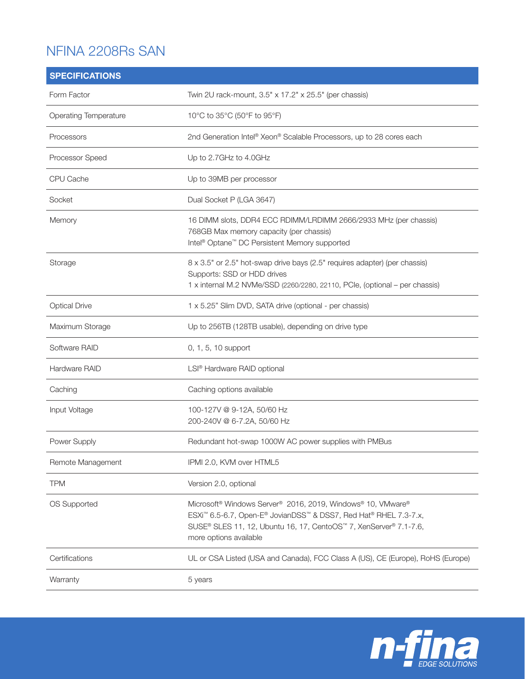## NFINA 2208Rs SAN

| <b>SPECIFICATIONS</b> |                                                                                                                                                                                                                                                        |
|-----------------------|--------------------------------------------------------------------------------------------------------------------------------------------------------------------------------------------------------------------------------------------------------|
| Form Factor           | Twin 2U rack-mount, 3.5" x 17.2" x 25.5" (per chassis)                                                                                                                                                                                                 |
| Operating Temperature | 10°C to 35°C (50°F to 95°F)                                                                                                                                                                                                                            |
| Processors            | 2nd Generation Intel® Xeon® Scalable Processors, up to 28 cores each                                                                                                                                                                                   |
| Processor Speed       | Up to 2.7GHz to 4.0GHz                                                                                                                                                                                                                                 |
| CPU Cache             | Up to 39MB per processor                                                                                                                                                                                                                               |
| Socket                | Dual Socket P (LGA 3647)                                                                                                                                                                                                                               |
| Memory                | 16 DIMM slots, DDR4 ECC RDIMM/LRDIMM 2666/2933 MHz (per chassis)<br>768GB Max memory capacity (per chassis)<br>Intel <sup>®</sup> Optane <sup>™</sup> DC Persistent Memory supported                                                                   |
| Storage               | 8 x 3.5" or 2.5" hot-swap drive bays (2.5" requires adapter) (per chassis)<br>Supports: SSD or HDD drives<br>1 x internal M.2 NVMe/SSD (2260/2280, 22110, PCle, (optional - per chassis)                                                               |
| <b>Optical Drive</b>  | 1 x 5.25" Slim DVD, SATA drive (optional - per chassis)                                                                                                                                                                                                |
| Maximum Storage       | Up to 256TB (128TB usable), depending on drive type                                                                                                                                                                                                    |
| Software RAID         | 0, 1, 5, 10 support                                                                                                                                                                                                                                    |
| Hardware RAID         | LSI <sup>®</sup> Hardware RAID optional                                                                                                                                                                                                                |
| Caching               | Caching options available                                                                                                                                                                                                                              |
| Input Voltage         | 100-127V @ 9-12A, 50/60 Hz<br>200-240V @ 6-7.2A, 50/60 Hz                                                                                                                                                                                              |
| Power Supply          | Redundant hot-swap 1000W AC power supplies with PMBus                                                                                                                                                                                                  |
| Remote Management     | IPMI 2.0, KVM over HTML5                                                                                                                                                                                                                               |
| <b>TPM</b>            | Version 2.0, optional                                                                                                                                                                                                                                  |
| OS Supported          | Microsoft <sup>®</sup> Windows Server <sup>®</sup> 2016, 2019, Windows® 10, VMware®<br>ESXi™ 6.5-6.7, Open-E® JovianDSS™ & DSS7, Red Hat® RHEL 7.3-7.x,<br>SUSE® SLES 11, 12, Ubuntu 16, 17, CentoOS™ 7, XenServer® 7.1-7.6,<br>more options available |
| Certifications        | UL or CSA Listed (USA and Canada), FCC Class A (US), CE (Europe), RoHS (Europe)                                                                                                                                                                        |
| Warranty              | 5 years                                                                                                                                                                                                                                                |